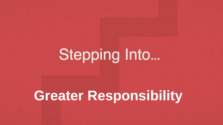# Stepping Into...

**Greater Responsibility**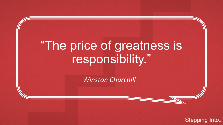## "The price of greatness is responsibility."

*Winston Churchill*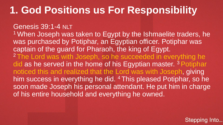### **1. God Positions us For Responsibility**

Genesis 39:1-4 NLT

<sup>1</sup> When Joseph was taken to Egypt by the Ishmaelite traders, he was purchased by Potiphar, an Egyptian officer. Potiphar was captain of the guard for Pharaoh, the king of Egypt. <sup>2</sup> The Lord was with Joseph, so he succeeded in everything he did as he served in the home of his Egyptian master. <sup>3</sup> Potiphar noticed this and realized that the Lord was with Joseph, giving him success in everything he did. <sup>4</sup> This pleased Potiphar, so he soon made Joseph his personal attendant. He put him in charge of his entire household and everything he owned.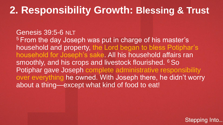### **2. Responsibility Growth: Blessing & Trust**

#### Genesis 39:5-6 NLT

<sup>5</sup> From the day Joseph was put in charge of his master's household and property, the Lord began to bless Potiphar's household for Joseph's sake. All his household affairs ran smoothly, and his crops and livestock flourished. <sup>6</sup> So Potiphar gave Joseph complete administrative responsibility over everything he owned. With Joseph there, he didn't worry about a thing—except what kind of food to eat!

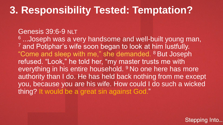### **3. Responsibility Tested: Temptation?**

#### Genesis 39:6-9 NLT

<sup>6</sup>...Joseph was a very handsome and well-built young man, <sup>7</sup> and Potiphar's wife soon began to look at him lustfully. "Come and sleep with me," she demanded. <sup>8</sup> But Joseph refused. "Look," he told her, "my master trusts me with everything in his entire household. <sup>9</sup> No one here has more authority than I do. He has held back nothing from me except you, because you are his wife. How could I do such a wicked thing? It would be a great sin against God."

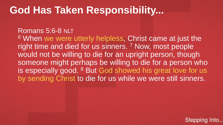### **God Has Taken Responsibility...**

#### Romans 5:6-8 NLT

<sup>6</sup> When we were utterly helpless, Christ came at just the right time and died for us sinners.<sup>7</sup> Now, most people would not be willing to die for an upright person, though someone might perhaps be willing to die for a person who is especially good. <sup>8</sup> But God showed his great love for us by sending Christ to die for us while we were still sinners.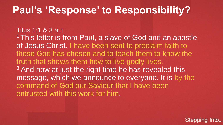### **Paul's 'Response' to Responsibility?**

Titus 1:1 & 3 NLT <sup>1</sup> This letter is from Paul, a slave of God and an apostle of Jesus Christ. I have been sent to proclaim faith to those God has chosen and to teach them to know the truth that shows them how to live godly lives. <sup>3</sup> And now at just the right time he has revealed this message, which we announce to everyone. It is by the command of God our Saviour that I have been entrusted with this work for him.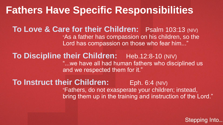### **Fathers Have Specific Responsibilities**

**To Love & Care for their Children:** Psalm 103:13 (NIV) "As a father has compassion on his children, so the Lord has compassion on those who fear him..."

**To Discipline their Children:** Heb.12:8-10 (NIV) "...we have all had human fathers who disciplined us and we respected them for it."

**To Instruct their Children:** Eph. 6:4 (NIV) "Fathers, do not exasperate your children; instead, bring them up in the training and instruction of the Lord."